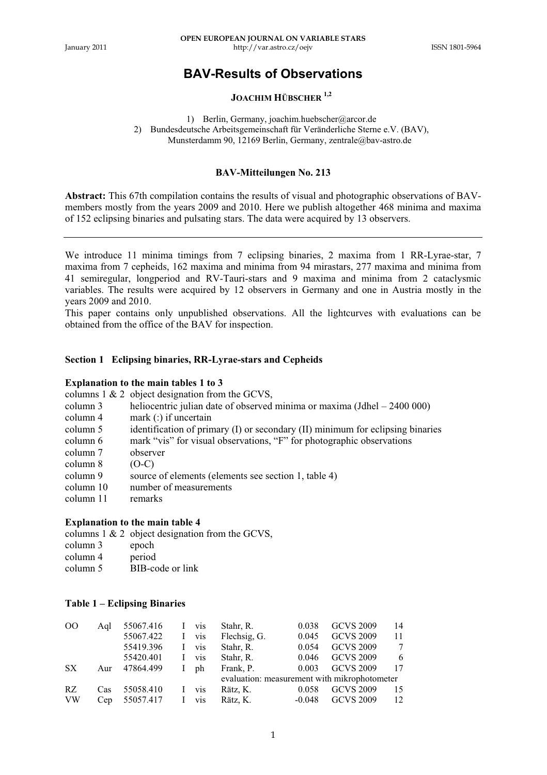## **BAV-Results of Observations**

## **JOACHIM HÜBSCHER 1,2**

1) Berlin, Germany, joachim.huebscher@arcor.de 2) Bundesdeutsche Arbeitsgemeinschaft für Veränderliche Sterne e.V. (BAV), Munsterdamm 90, 12169 Berlin, Germany, zentrale@bav-astro.de

#### **BAV-Mitteilungen No. 213**

**Abstract:** This 67th compilation contains the results of visual and photographic observations of BAVmembers mostly from the years 2009 and 2010. Here we publish altogether 468 minima and maxima of 152 eclipsing binaries and pulsating stars. The data were acquired by 13 observers.

We introduce 11 minima timings from 7 eclipsing binaries, 2 maxima from 1 RR-Lyrae-star, 7 maxima from 7 cepheids, 162 maxima and minima from 94 mirastars, 277 maxima and minima from 41 semiregular, longperiod and RV-Tauri-stars and 9 maxima and minima from 2 cataclysmic variables. The results were acquired by 12 observers in Germany and one in Austria mostly in the years 2009 and 2010.

This paper contains only unpublished observations. All the lightcurves with evaluations can be obtained from the office of the BAV for inspection.

### **Section 1 Eclipsing binaries, RR-Lyrae-stars and Cepheids**

#### **Explanation to the main tables 1 to 3**

columns 1 & 2 object designation from the GCVS,

- column 3 heliocentric julian date of observed minima or maxima (Jdhel 2400 000)<br>column 4 mark (; if uncertain
- mark  $($ :) if uncertain
- column 5 identification of primary (I) or secondary (II) minimum for eclipsing binaries
- column 6 mark "vis" for visual observations, "F" for photographic observations
- column 7 observer
- column 8 (O-C)
- column 9 source of elements (elements see section 1, table 4)<br>column 10 number of measurements
- number of measurements<br>remarks
- column 11

#### **Explanation to the main table 4**

columns 1 & 2 object designation from the GCVS,

| column 3 | epoch  |
|----------|--------|
| column 4 | period |

column 5 BIB-code or link

#### **Table 1 – Eclipsing Binaries**

| $_{\rm OO}$ | Aal | 55067.416 |   | vis | Stahr, R.                                    | 0.038    | <b>GCVS 2009</b> | 14 |
|-------------|-----|-----------|---|-----|----------------------------------------------|----------|------------------|----|
|             |     | 55067.422 |   | vis | Flechsig, G.                                 | 0.045    | <b>GCVS 2009</b> | 11 |
|             |     | 55419.396 |   | vis | Stahr, R.                                    | 0.054    | <b>GCVS 2009</b> | 7  |
|             |     | 55420.401 |   | vis | Stahr, R.                                    | 0.046    | <b>GCVS 2009</b> | 6  |
| SX          | Aur | 47864.499 | L | ph  | Frank. P.                                    | 0.003    | <b>GCVS 2009</b> | 17 |
|             |     |           |   |     | evaluation: measurement with mikrophotometer |          |                  |    |
| RZ          | Cas | 55058.410 |   | vis | Rätz, K.                                     | 0.058    | <b>GCVS 2009</b> | 15 |
| <b>VW</b>   | Cep | 55057.417 |   | vis | Rätz, K.                                     | $-0.048$ | <b>GCVS 2009</b> | 12 |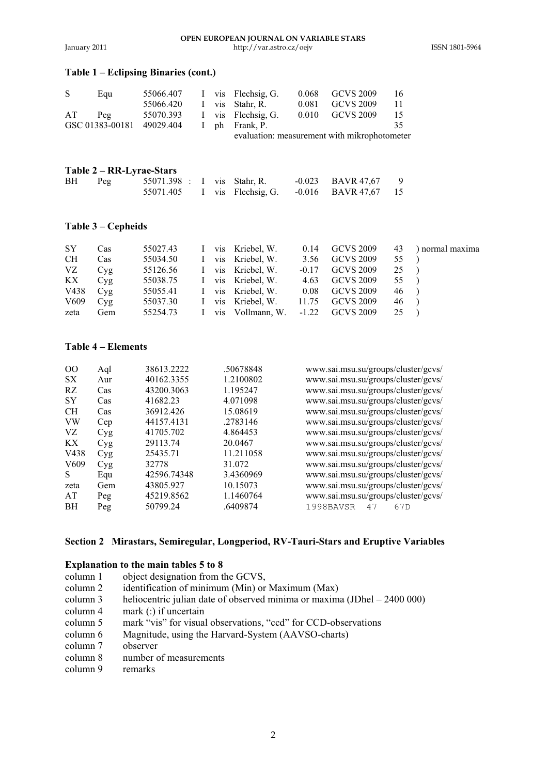#### **OPEN EUROPEAN JOURNAL ON VARIABLE STARS**  January 2011 http://var.astro.cz/oejv ISSN 1801-5964

### **Table 1 – Eclipsing Binaries (cont.)**

| S<br>55066.407<br>I vis Flechsig G.<br>Eau     | <b>GCVS 2009</b><br>0.068<br>16              |
|------------------------------------------------|----------------------------------------------|
| 55066.420<br>vis Stahr, R.<br>L                | <b>GCVS 2009</b><br>0.081<br>11              |
| 55070.393<br>I vis Flechsig. G.<br>AT<br>Peq   | <b>GCVS 2009</b><br>0.010<br>15              |
| GSC 01383-00181<br>49029.404<br>I ph Frank, P. | 35                                           |
|                                                | evaluation: measurement with mikrophotometer |

#### **Table 2 – RR-Lyrae-Stars**

| BH | Peg | 55071.398 : I vis Stahr, R. |  |  | $-0.023$ BAVR 47.67                       | - 9 |
|----|-----|-----------------------------|--|--|-------------------------------------------|-----|
|    |     | 55071.405                   |  |  | I vis Flechsig, G. $-0.016$ BAVR 47,67 15 |     |

### **Table 3 – Cepheids**

| <b>SY</b> | Cas |  | 55027.43 I vis Kriebel, W.                  |      |                   |                 | $0.14$ GCVS 2009 $43$ ) normal maxima |
|-----------|-----|--|---------------------------------------------|------|-------------------|-----------------|---------------------------------------|
| <b>CH</b> | Cas |  | 55034.50 I vis Kriebel, W.                  | 3.56 | GCVS 2009         | 55              |                                       |
| VZ.       | Cyg |  | 55126.56 I vis Kriebel W.                   |      | $-0.17$ GCVS 2009 | 25              |                                       |
| КX        | Cyg |  | 55038.75 I vis Kriebel, W.                  |      | 4.63 GCVS 2009    | 55 )            |                                       |
| V438      | Cyg |  | 55055.41 I vis Kriebel, W. 0.08 GCVS 2009   |      |                   | $46 \quad$      |                                       |
| V609      | Cvg |  | 55037.30 I vis Kriebel, W. 11.75 GCVS 2009  |      |                   | $46 \quad \Box$ |                                       |
| zeta      | Gem |  | 55254.73 I vis Vollmann, W. -1.22 GCVS 2009 |      |                   | 25              |                                       |

### **Table 4 – Elements**

| $\Omega$         | Aql | 38613.2222  | .50678848 | www.sai.msu.su/groups/cluster/gcvs/ |
|------------------|-----|-------------|-----------|-------------------------------------|
| SX               | Aur | 40162.3355  | 1.2100802 | www.sai.msu.su/groups/cluster/gcvs/ |
| <b>RZ</b>        | Cas | 43200.3063  | 1.195247  | www.sai.msu.su/groups/cluster/gcvs/ |
| <b>SY</b>        | Cas | 41682.23    | 4.071098  | www.sai.msu.su/groups/cluster/gcvs/ |
| CН               | Cas | 36912.426   | 15.08619  | www.sai.msu.su/groups/cluster/gcvs/ |
| <b>VW</b>        | Cep | 44157.4131  | .2783146  | www.sai.msu.su/groups/cluster/gcvs/ |
| VZ               | Cyg | 41705.702   | 4.864453  | www.sai.msu.su/groups/cluster/gcvs/ |
| <b>KX</b>        | Cyg | 29113.74    | 20.0467   | www.sai.msu.su/groups/cluster/gcvs/ |
| V438             | Cyg | 25435.71    | 11.211058 | www.sai.msu.su/groups/cluster/gcvs/ |
| V <sub>609</sub> | Cyg | 32778       | 31.072    | www.sai.msu.su/groups/cluster/gcvs/ |
| S                | Equ | 42596.74348 | 3.4360969 | www.sai.msu.su/groups/cluster/gcvs/ |
| zeta             | Gem | 43805.927   | 10.15073  | www.sai.msu.su/groups/cluster/gcvs/ |
| AT               | Peg | 45219.8562  | 1.1460764 | www.sai.msu.su/groups/cluster/gcvs/ |
| <b>BH</b>        | Peg | 50799.24    | .6409874  | 1998BAVSR<br>67 <sub>D</sub><br>47  |
|                  |     |             |           |                                     |

### **Section 2 Mirastars, Semiregular, Longperiod, RV-Tauri-Stars and Eruptive Variables**

#### **Explanation to the main tables 5 to 8**

- column 1 object designation from the GCVS,<br>column 2 identification of minimum (Min) or
- identification of minimum (Min) or Maximum (Max)
- column 3 heliocentric julian date of observed minima or maxima (JDhel 2400 000) column 4 mark (:) if uncertain
- column 4 mark (:) if uncertain<br>column 5 mark "vis" for visual
- column 5 mark "vis" for visual observations, "ccd" for CCD-observations<br>column 6 Magnitude, using the Harvard-System (AAVSO-charts)
- Magnitude, using the Harvard-System (AAVSO-charts)
- column 7 observer<br>column 8 number c
- number of measurements
- column 9 remarks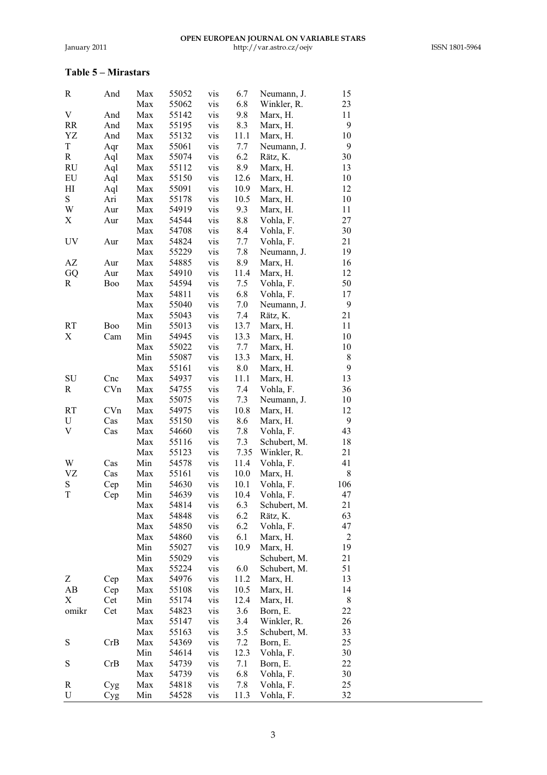## **Table 5 – Mirastars**

| R     | And | Max | 55052 | vis | 6.7  | Neumann, J.  | 15                      |
|-------|-----|-----|-------|-----|------|--------------|-------------------------|
|       |     | Max | 55062 | vis | 6.8  | Winkler, R.  | 23                      |
| V     | And | Max | 55142 | vis | 9.8  | Marx, H.     | 11                      |
| RR    | And | Max | 55195 | vis | 8.3  | Marx, H.     | 9                       |
| YZ    | And | Max | 55132 | vis | 11.1 | Marx, H.     | 10                      |
| T     | Aqr | Max | 55061 | vis | 7.7  | Neumann, J.  | 9                       |
| R     | Aql | Max | 55074 | vis | 6.2  | Rätz, K.     | 30                      |
| RU    | Aql | Max | 55112 | vis | 8.9  | Marx, H.     | 13                      |
| EU    | Aql | Max | 55150 | vis | 12.6 | Marx, H.     | 10                      |
| HI    | Aql | Max | 55091 | vis | 10.9 | Marx, H.     | 12                      |
| S     | Ari | Max | 55178 | vis | 10.5 | Marx, H.     | 10                      |
| W     | Aur | Max | 54919 | vis | 9.3  | Marx, H.     | 11                      |
| X     | Aur | Max | 54544 | vis | 8.8  | Vohla, F.    | 27                      |
|       |     | Max | 54708 | vis | 8.4  | Vohla, F.    | 30                      |
| UV    | Aur | Max | 54824 | vis | 7.7  | Vohla, F.    | 21                      |
|       |     | Max | 55229 | vis | 7.8  | Neumann, J.  | 19                      |
| AZ    | Aur | Max | 54885 | vis | 8.9  | Marx, H.     | 16                      |
| GQ    | Aur | Max | 54910 | vis | 11.4 | Marx, H.     | 12                      |
|       |     |     | 54594 |     |      |              | 50                      |
| R     | Boo | Max |       | vis | 7.5  | Vohla, F.    |                         |
|       |     | Max | 54811 | vis | 6.8  | Vohla, F.    | 17                      |
|       |     | Max | 55040 | vis | 7.0  | Neumann, J.  | 9                       |
|       |     | Max | 55043 | vis | 7.4  | Rätz, K.     | 21                      |
| RT    | Boo | Min | 55013 | vis | 13.7 | Marx, H.     | 11                      |
| Х     | Cam | Min | 54945 | vis | 13.3 | Marx, H.     | 10                      |
|       |     | Max | 55022 | vis | 7.7  | Marx, H.     | 10                      |
|       |     | Min | 55087 | vis | 13.3 | Marx, H.     | 8                       |
|       |     | Max | 55161 | vis | 8.0  | Marx, H.     | 9                       |
| SU    | Cnc | Max | 54937 | vis | 11.1 | Marx, H.     | 13                      |
| R     | CVn | Max | 54755 | vis | 7.4  | Vohla, F.    | 36                      |
|       |     | Max | 55075 | vis | 7.3  | Neumann, J.  | 10                      |
| RT    | CVn | Max | 54975 | vis | 10.8 | Marx, H.     | 12                      |
| U     | Cas | Max | 55150 | vis | 8.6  | Marx, H.     | 9                       |
| V     | Cas | Max | 54660 | vis | 7.8  | Vohla, F.    | 43                      |
|       |     | Max | 55116 | vis | 7.3  | Schubert, M. | 18                      |
|       |     | Max | 55123 | vis | 7.35 | Winkler, R.  | 21                      |
| W     | Cas | Min | 54578 | vis | 11.4 | Vohla, F.    | 41                      |
| VZ    | Cas | Max | 55161 | vis | 10.0 | Marx, H.     | 8                       |
| S     | Cep | Min | 54630 | vis | 10.1 | Vohla, F.    | 106                     |
| T     | Cep | Min | 54639 | vis | 10.4 | Vohla, F.    | 47                      |
|       |     | Max | 54814 | vis | 6.3  | Schubert, M. | 21                      |
|       |     | Max | 54848 | vis | 6.2  | Rätz, K.     | 63                      |
|       |     | Max | 54850 | vis | 6.2  | Vohla, F.    | 47                      |
|       |     | Max | 54860 | vis | 6.1  | Marx, H.     | $\overline{\mathbf{c}}$ |
|       |     | Min | 55027 | vis | 10.9 | Marx, H.     | 19                      |
|       |     | Min | 55029 | vis |      | Schubert, M. | 21                      |
|       |     | Max | 55224 | vis | 6.0  | Schubert, M. | 51                      |
| Z     |     | Max |       |     | 11.2 |              | 13                      |
|       | Cep |     | 54976 | vis |      | Marx, H.     | 14                      |
| AB    | Cep | Max | 55108 | vis | 10.5 | Marx, H.     |                         |
| Х     | Cet | Min | 55174 | vis | 12.4 | Marx, H.     | 8                       |
| omikr | Cet | Max | 54823 | vis | 3.6  | Born, E.     | 22                      |
|       |     | Max | 55147 | vis | 3.4  | Winkler, R.  | 26                      |
|       |     | Max | 55163 | vis | 3.5  | Schubert, M. | 33                      |
| S     | CrB | Max | 54369 | vis | 7.2  | Born, E.     | 25                      |
|       |     | Min | 54614 | vis | 12.3 | Vohla, F.    | 30                      |
| S     | CrB | Max | 54739 | vis | 7.1  | Born, E.     | 22                      |
|       |     | Max | 54739 | vis | 6.8  | Vohla, F.    | 30                      |
| R     | Cyg | Max | 54818 | vis | 7.8  | Vohla, F.    | 25                      |
| U     | Cyg | Min | 54528 | vis | 11.3 | Vohla, F.    | 32                      |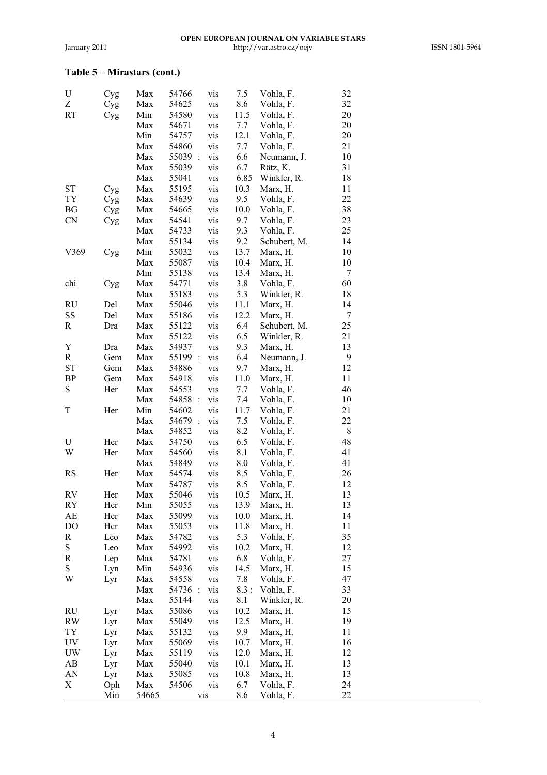# **Table 5 – Mirastars (cont.)**

| U         | Cyg        | Max   | 54766              | vis | 7.5        | Vohla, F.    | 32      |
|-----------|------------|-------|--------------------|-----|------------|--------------|---------|
| Z         | Cyg        | Max   | 54625              | vis | 8.6        | Vohla, F.    | 32      |
| RT        | Cyg        | Min   | 54580              | vis | 11.5       | Vohla, F.    | 20      |
|           |            | Max   | 54671              | vis | 7.7        | Vohla, F.    | 20      |
|           |            | Min   | 54757              | vis | 12.1       | Vohla, F.    | 20      |
|           |            | Max   | 54860              | vis | 7.7        | Vohla, F.    | 21      |
|           |            | Max   | 55039 :            | vis | 6.6        | Neumann, J.  | 10      |
|           |            | Max   | 55039              | vis | 6.7        | Rätz, K.     | 31      |
|           |            | Max   | 55041              | vis | 6.85       | Winkler, R.  | 18      |
| ST        | Cyg        | Max   | 55195              | vis | 10.3       | Marx, H.     | 11      |
| TY        | Cyg        | Max   | 54639              | vis | 9.5        | Vohla, F.    | 22      |
| BG        | Cyg        | Max   | 54665              | vis | 10.0       | Vohla, F.    | 38      |
| CN        | Cyg        | Max   | 54541              | vis | 9.7        | Vohla, F.    | 23      |
|           |            | Max   | 54733              | vis | 9.3        | Vohla, F.    | 25      |
|           |            | Max   | 55134              | vis | 9.2        | Schubert, M. | 14      |
| V369      | Cyg        | Min   | 55032              | vis | 13.7       | Marx, H.     | 10      |
|           |            | Max   | 55087              | vis | 10.4       | Marx, H.     | 10      |
|           |            | Min   | 55138              | vis | 13.4       | Marx, H.     | 7       |
| chi       | Cyg        | Max   | 54771              | vis | 3.8        | Vohla, F.    | 60      |
|           |            | Max   | 55183              | vis | 5.3        | Winkler, R.  | 18      |
| RU        | Del        | Max   | 55046              | vis | 11.1       | Marx, H.     | 14      |
| SS        | Del        | Max   | 55186              | vis | 12.2       | Marx, H.     | 7       |
| R         | Dra        | Max   | 55122              | vis | 6.4        | Schubert, M. | 25      |
|           |            | Max   | 55122              | vis | 6.5        |              | 21      |
| Y         |            |       |                    |     |            | Winkler, R.  |         |
|           | Dra<br>Gem | Max   | 54937              | vis | 9.3<br>6.4 | Marx, H.     | 13<br>9 |
| R         |            | Max   | 55199 :            | vis |            | Neumann, J.  |         |
| ST        | Gem        | Max   | 54886              | vis | 9.7        | Marx, H.     | 12      |
| BP        | Gem        | Max   | 54918              | vis | 11.0       | Marx, H.     | 11      |
| S         | Her        | Max   | 54553              | vis | 7.7        | Vohla, F.    | 46      |
|           |            | Max   | 54858<br>$\cdot$ : | vis | 7.4        | Vohla, F.    | 10      |
| T         | Her        | Min   | 54602              | vis | 11.7       | Vohla, F.    | 21      |
|           |            | Max   | 54679:             | vis | 7.5        | Vohla, F.    | 22      |
|           |            | Max   | 54852              | vis | 8.2        | Vohla, F.    | 8       |
| U         | Her        | Max   | 54750              | vis | 6.5        | Vohla, F.    | 48      |
| W         | Her        | Max   | 54560              | vis | 8.1        | Vohla, F.    | 41      |
|           |            | Max   | 54849              | vis | 8.0        | Vohla, F.    | 41      |
| <b>RS</b> | Her        | Max   | 54574              | vis | 8.5        | Vohla, F.    | 26      |
|           |            | Max   | 54787              | vis | 8.5        | Vohla, F.    | 12      |
| RV        | Her        | Max   | 55046              | vis | 10.5       | Marx, H.     | 13      |
| RY        | Her        | Min   | 55055              | vis | 13.9       | Marx, H.     | 13      |
| AЕ        | Her        | Max   | 55099              | vis | 10.0       | Marx, H.     | 14      |
| DO        | Her        | Max   | 55053              | vis | 11.8       | Marx, H.     | 11      |
| R         | Leo        | Max   | 54782              | vis | 5.3        | Vohla, F.    | 35      |
| S         | Leo        | Max   | 54992              | vis | 10.2       | Marx, H.     | 12      |
| R         | Lep        | Max   | 54781              | vis | 6.8        | Vohla, F.    | 27      |
| S         | Lyn        | Min   | 54936              | vis | 14.5       | Marx, H.     | 15      |
| W         | Lyr        | Max   | 54558              | vis | 7.8        | Vohla, F.    | 47      |
|           |            | Max   | 54736 :            | vis | 8.3:       | Vohla, F.    | 33      |
|           |            | Max   | 55144              | vis | 8.1        | Winkler, R.  | 20      |
| RU        | Lyr        | Max   | 55086              | vis | 10.2       | Marx, H.     | 15      |
| <b>RW</b> | Lyr        | Max   | 55049              | vis | 12.5       | Marx, H.     | 19      |
| TY        | Lyr        | Max   | 55132              | vis | 9.9        | Marx, H.     | 11      |
| UV        | Lyr        | Max   | 55069              | vis | 10.7       | Marx, H.     | 16      |
| UW        | Lyr        | Max   | 55119              | vis | 12.0       | Marx, H.     | 12      |
| AΒ        | Lyr        | Max   | 55040              | vis | 10.1       | Marx, H.     | 13      |
| AN        | Lyr        | Max   | 55085              | vis | 10.8       | Marx, H.     | 13      |
| Х         | Oph        | Max   | 54506              | vis | 6.7        | Vohla, F.    | 24      |
|           | Min        | 54665 |                    | vis | 8.6        | Vohla, F.    | 22      |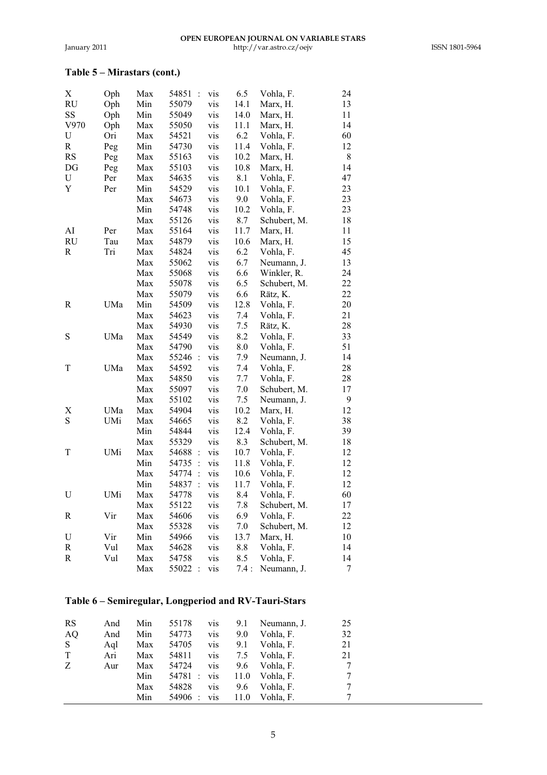# **Table 5 – Mirastars (cont.)**

| X         | Oph | Max | 54851<br>$\ddot{\cdot}$ | vis | 6.5  | Vohla, F.    | 24     |
|-----------|-----|-----|-------------------------|-----|------|--------------|--------|
| <b>RU</b> | Oph | Min | 55079                   | vis | 14.1 | Marx, H.     | 13     |
| SS        | Oph | Min | 55049                   | vis | 14.0 | Marx, H.     | 11     |
| V970      | Oph | Max | 55050                   | vis | 11.1 | Marx, H.     | 14     |
| U         | Ori | Max | 54521                   | vis | 6.2  | Vohla, F.    | 60     |
| R         | Peg | Min | 54730                   | vis | 11.4 | Vohla, F.    | 12     |
| <b>RS</b> | Peg | Max | 55163                   | vis | 10.2 | Marx, H.     | 8      |
| DG        | Peg | Max | 55103                   | vis | 10.8 | Marx, H.     | 14     |
| U         | Per | Max | 54635                   | vis | 8.1  | Vohla, F.    | 47     |
| Y         | Per | Min | 54529                   | vis | 10.1 | Vohla, F.    | 23     |
|           |     | Max | 54673                   | vis | 9.0  | Vohla, F.    | 23     |
|           |     | Min | 54748                   | vis | 10.2 | Vohla, F.    | 23     |
|           |     | Max | 55126                   | vis | 8.7  | Schubert, M. | 18     |
| AI        | Per | Max | 55164                   | vis | 11.7 | Marx, H.     | 11     |
| RU        | Tau | Max | 54879                   | vis | 10.6 | Marx, H.     | 15     |
| R         | Tri | Max | 54824                   | vis | 6.2  | Vohla, F.    | 45     |
|           |     | Max | 55062                   | vis | 6.7  | Neumann, J.  | 13     |
|           |     | Max | 55068                   | vis | 6.6  | Winkler, R.  | 24     |
|           |     | Max | 55078                   | vis | 6.5  | Schubert, M. | 22     |
|           |     | Max | 55079                   | vis | 6.6  | Rätz, K.     | 22     |
| R         | UMa | Min | 54509                   | vis | 12.8 | Vohla, F.    | 20     |
|           |     | Max | 54623                   | vis | 7.4  | Vohla, F.    | 21     |
|           |     | Max | 54930                   | vis | 7.5  | Rätz, K.     | 28     |
| S         | UMa | Max | 54549                   | vis | 8.2  | Vohla, F.    | 33     |
|           |     | Max | 54790                   | vis | 8.0  | Vohla, F.    | 51     |
|           |     | Max | 55246 :                 | vis | 7.9  | Neumann, J.  | 14     |
| T         | UMa | Max | 54592                   | vis | 7.4  | Vohla, F.    | 28     |
|           |     | Max | 54850                   | vis | 7.7  | Vohla, F.    | 28     |
|           |     | Max | 55097                   | vis | 7.0  | Schubert, M. | 17     |
|           |     | Max | 55102                   | vis | 7.5  | Neumann, J.  | 9      |
| Х         | UMa | Max | 54904                   | vis | 10.2 | Marx, H.     | 12     |
| S         | UMi | Max | 54665                   | vis | 8.2  | Vohla, F.    | 38     |
|           |     | Min | 54844                   | vis | 12.4 | Vohla, F.    | 39     |
|           |     | Max | 55329                   | vis | 8.3  | Schubert, M. | 18     |
| T         | UMi | Max | 54688<br>$\ddot{\cdot}$ | vis | 10.7 | Vohla, F.    | 12     |
|           |     | Min | $\ddot{\cdot}$<br>54735 | vis | 11.8 | Vohla, F.    | 12     |
|           |     | Max | 54774<br>$\vdots$       | vis | 10.6 | Vohla, F.    | 12     |
|           |     | Min | 54837<br>$\ddot{\cdot}$ | vis | 11.7 | Vohla, F.    | 12     |
| U         | UMi | Max | 54778                   | vis | 8.4  | Vohla, F.    | 60     |
|           |     | Max | 55122                   | vis | 7.8  | Schubert, M. | 17     |
| R         | Vir | Max | 54606                   | vis | 6.9  | Vohla, F.    | 22     |
|           |     | Max | 55328                   | vis | 7.0  | Schubert, M. | 12     |
| U         | Vir | Min | 54966                   | vis | 13.7 | Marx, H.     | 10     |
| R         | Vul | Max | 54628                   | vis | 8.8  | Vohla, F.    | 14     |
| R         | Vul | Max | 54758                   | vis | 8.5  | Vohla, F.    | 14     |
|           |     | Max | 55022<br>$\ddot{\cdot}$ | vis | 7.4: | Neumann, J.  | $\tau$ |

| <b>RS</b> | And | Min | 55178   | vis | 9.1  | Neumann. J. | 25 |
|-----------|-----|-----|---------|-----|------|-------------|----|
| AO        | And | Min | 54773   | vis | 9.0  | Vohla. F.   | 32 |
| S.        | Aql | Max | 54705   | vis | 9.1  | Vohla. F.   | 21 |
| T         | Ari | Max | 54811   | vis | 7.5  | Vohla, F.   | 21 |
| Z         | Aur | Max | 54724   | vis | 9.6  | Vohla. F.   |    |
|           |     | Min | 54781 : | vis | 11.0 | Vohla. F.   |    |
|           |     | Max | 54828   | vis | 9.6  | Vohla. F.   |    |
|           |     | Min | 54906 : | vis | 11.0 | Vohla. F.   |    |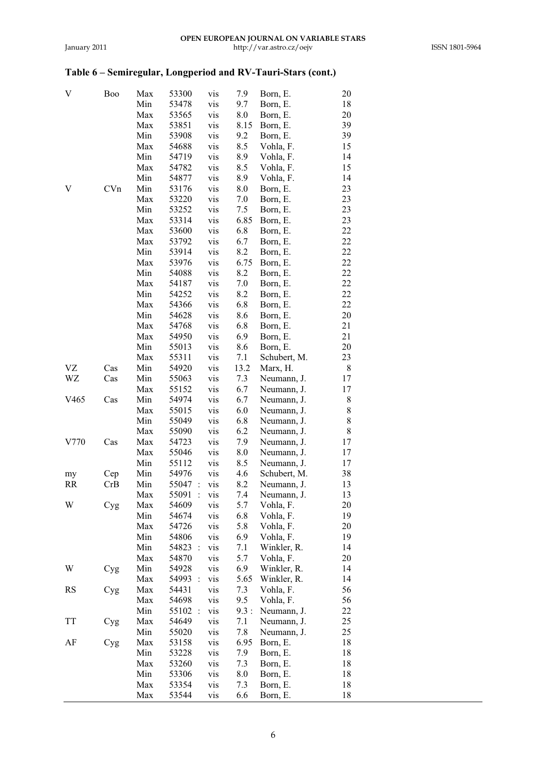| V                | Boo | Max | 53300                         | vis | 7.9  | Born, E.     | 20 |
|------------------|-----|-----|-------------------------------|-----|------|--------------|----|
|                  |     | Min | 53478                         | vis | 9.7  | Born, E.     | 18 |
|                  |     | Max | 53565                         | vis | 8.0  | Born, E.     | 20 |
|                  |     | Max | 53851                         | vis | 8.15 | Born, E.     | 39 |
|                  |     | Min | 53908                         | vis | 9.2  | Born, E.     | 39 |
|                  |     | Max | 54688                         | vis | 8.5  | Vohla, F.    | 15 |
|                  |     | Min | 54719                         | vis | 8.9  | Vohla, F.    | 14 |
|                  |     | Max | 54782                         | vis | 8.5  | Vohla, F.    | 15 |
|                  |     | Min | 54877                         | vis | 8.9  | Vohla, F.    | 14 |
| V                | CVn | Min | 53176                         | vis | 8.0  | Born, E.     | 23 |
|                  |     | Max | 53220                         | vis | 7.0  | Born, E.     | 23 |
|                  |     | Min | 53252                         |     |      | Born, E.     | 23 |
|                  |     |     |                               | vis | 7.5  |              |    |
|                  |     | Max | 53314                         | vis | 6.85 | Born, E.     | 23 |
|                  |     | Max | 53600                         | vis | 6.8  | Born, E.     | 22 |
|                  |     | Max | 53792                         | vis | 6.7  | Born, E.     | 22 |
|                  |     | Min | 53914                         | vis | 8.2  | Born, E.     | 22 |
|                  |     | Max | 53976                         | vis | 6.75 | Born, E.     | 22 |
|                  |     | Min | 54088                         | vis | 8.2  | Born, E.     | 22 |
|                  |     | Max | 54187                         | vis | 7.0  | Born, E.     | 22 |
|                  |     | Min | 54252                         | vis | 8.2  | Born, E.     | 22 |
|                  |     | Max | 54366                         | vis | 6.8  | Born, E.     | 22 |
|                  |     | Min | 54628                         | vis | 8.6  | Born, E.     | 20 |
|                  |     | Max | 54768                         | vis | 6.8  | Born, E.     | 21 |
|                  |     | Max | 54950                         | vis | 6.9  | Born, E.     | 21 |
|                  |     | Min | 55013                         | vis | 8.6  | Born, E.     | 20 |
|                  |     | Max | 55311                         | vis | 7.1  | Schubert, M. | 23 |
| VZ               | Cas | Min | 54920                         | vis | 13.2 | Marx, H.     | 8  |
| WZ               | Cas | Min | 55063                         | vis | 7.3  | Neumann, J.  | 17 |
|                  |     | Max | 55152                         | vis | 6.7  | Neumann, J.  | 17 |
| V <sub>465</sub> | Cas | Min | 54974                         | vis | 6.7  | Neumann, J.  | 8  |
|                  |     | Max | 55015                         | vis | 6.0  | Neumann, J.  | 8  |
|                  |     | Min | 55049                         | vis | 6.8  | Neumann, J.  | 8  |
|                  |     | Max | 55090                         | vis | 6.2  | Neumann, J.  | 8  |
| V770             | Cas | Max | 54723                         | vis | 7.9  | Neumann, J.  | 17 |
|                  |     | Max | 55046                         | vis | 8.0  | Neumann, J.  | 17 |
|                  |     | Min | 55112                         | vis | 8.5  | Neumann, J.  | 17 |
| my               | Cep | Min | 54976                         | vis | 4.6  | Schubert, M. | 38 |
| <b>RR</b>        | CrB | Min | 55047<br>$\ddot{\phantom{a}}$ | vis | 8.2  | Neumann, J.  | 13 |
|                  |     | Max | 55091<br>$\ddot{\phantom{a}}$ | vis | 7.4  | Neumann, J.  | 13 |
| W                | Cyg | Max | 54609                         | vis | 5.7  | Vohla, F.    | 20 |
|                  |     | Min | 54674                         | vis | 6.8  | Vohla, F.    | 19 |
|                  |     | Max | 54726                         | vis | 5.8  | Vohla, F.    | 20 |
|                  |     | Min | 54806                         | vis | 6.9  | Vohla, F.    | 19 |
|                  |     | Min | 54823 :                       | vis | 7.1  | Winkler, R.  | 14 |
|                  |     | Max | 54870                         | vis | 5.7  | Vohla, F.    | 20 |
| W                | Cyg | Min | 54928                         | vis | 6.9  | Winkler, R.  | 14 |
|                  |     | Max | 54993<br>$\ddot{\cdot}$       | vis | 5.65 | Winkler, R.  | 14 |
| RS               | Cyg | Max | 54431                         | vis | 7.3  | Vohla, F.    | 56 |
|                  |     | Max | 54698                         | vis | 9.5  | Vohla, F.    | 56 |
|                  |     | Min | 55102<br>$\ddot{\phantom{a}}$ | vis | 9.3: | Neumann, J.  | 22 |
| TT               | Cyg | Max | 54649                         | vis | 7.1  | Neumann, J.  | 25 |
|                  |     | Min | 55020                         | vis | 7.8  | Neumann, J.  | 25 |
| AF               | Cyg | Max | 53158                         | vis | 6.95 | Born, E.     | 18 |
|                  |     | Min | 53228                         | vis | 7.9  | Born, E.     | 18 |
|                  |     | Max | 53260                         | vis | 7.3  | Born, E.     | 18 |
|                  |     | Min | 53306                         | vis | 8.0  | Born, E.     | 18 |
|                  |     | Max | 53354                         | vis | 7.3  | Born, E.     | 18 |
|                  |     | Max | 53544                         | vis | 6.6  | Born, E.     | 18 |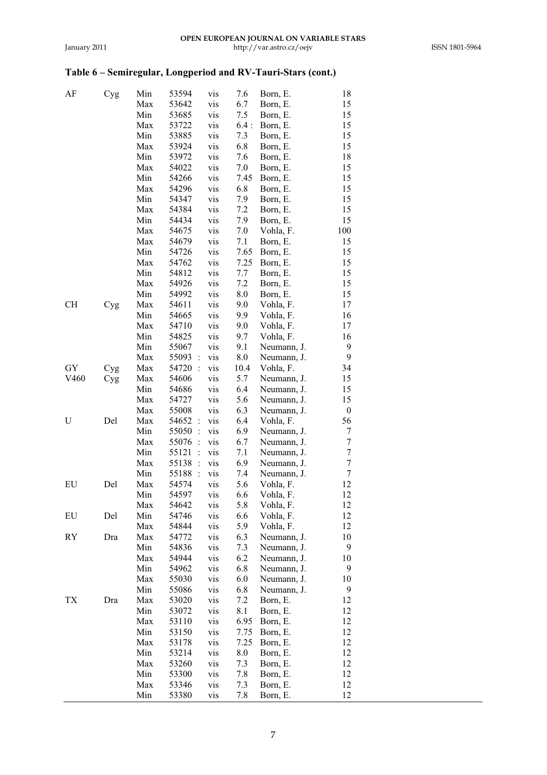| AF   | Cyg | Min | 53594                   | vis | 7.6  | Born, E.    | 18                       |
|------|-----|-----|-------------------------|-----|------|-------------|--------------------------|
|      |     | Max | 53642                   | vis | 6.7  | Born, E.    | 15                       |
|      |     | Min | 53685                   | vis | 7.5  | Born, E.    | 15                       |
|      |     | Max | 53722                   | vis | 6.4: | Born, E.    | 15                       |
|      |     | Min | 53885                   | vis | 7.3  | Born, E.    | 15                       |
|      |     | Max | 53924                   | vis | 6.8  | Born, E.    | 15                       |
|      |     | Min | 53972                   | vis | 7.6  | Born, E.    | 18                       |
|      |     | Max | 54022                   | vis | 7.0  | Born, E.    | 15                       |
|      |     | Min | 54266                   | vis | 7.45 | Born, E.    | 15                       |
|      |     | Max | 54296                   | vis | 6.8  | Born, E.    | 15                       |
|      |     | Min | 54347                   | vis | 7.9  | Born, E.    | 15                       |
|      |     | Max | 54384                   | vis | 7.2  | Born, E.    | 15                       |
|      |     | Min | 54434                   | vis | 7.9  | Born, E.    | 15                       |
|      |     | Max | 54675                   | vis | 7.0  | Vohla, F.   | 100                      |
|      |     | Max | 54679                   | vis | 7.1  | Born, E.    | 15                       |
|      |     | Min | 54726                   | vis | 7.65 | Born, E.    | 15                       |
|      |     | Max | 54762                   | vis | 7.25 | Born, E.    | 15                       |
|      |     | Min | 54812                   | vis | 7.7  | Born, E.    | 15                       |
|      |     | Max | 54926                   | vis | 7.2  | Born, E.    | 15                       |
|      |     | Min | 54992                   | vis | 8.0  | Born, E.    | 15                       |
| CН   |     | Max | 54611                   | vis | 9.0  | Vohla, F.   | 17                       |
|      | Cyg | Min | 54665                   | vis | 9.9  | Vohla, F.   | 16                       |
|      |     | Max |                         |     |      |             |                          |
|      |     | Min | 54710                   | vis | 9.0  | Vohla, F.   | 17                       |
|      |     |     | 54825                   | vis | 9.7  | Vohla, F.   | 16                       |
|      |     | Min | 55067                   | vis | 9.1  | Neumann, J. | 9<br>9                   |
|      |     | Max | 55093<br>$\ddot{\cdot}$ | vis | 8.0  | Neumann, J. |                          |
| GY   | Cyg | Max | 54720 :                 | vis | 10.4 | Vohla, F.   | 34                       |
| V460 | Cyg | Max | 54606                   | vis | 5.7  | Neumann, J. | 15                       |
|      |     | Min | 54686                   | vis | 6.4  | Neumann, J. | 15                       |
|      |     | Max | 54727                   | vis | 5.6  | Neumann, J. | 15                       |
|      |     | Max | 55008                   | vis | 6.3  | Neumann, J. | 0                        |
| U    | Del | Max | 54652<br>$\ddot{\cdot}$ | vis | 6.4  | Vohla, F.   | 56                       |
|      |     | Min | 55050:                  | vis | 6.9  | Neumann, J. | 7                        |
|      |     | Max | 55076<br>$\ddot{\cdot}$ | vis | 6.7  | Neumann, J. | $\tau$                   |
|      |     | Min | 55121<br>$\ddot{\cdot}$ | vis | 7.1  | Neumann, J. | $\overline{\mathcal{I}}$ |
|      |     | Max | 55138<br>$\ddot{\cdot}$ | vis | 6.9  | Neumann, J. | $\overline{7}$           |
|      |     | Min | 55188 :                 | vis | 7.4  | Neumann, J. | $\tau$                   |
| EU   | Del | Max | 54574                   | vis | 5.6  | Vohla, F.   | 12                       |
|      |     | Min | 54597                   | vis | 6.6  | Vohla, F.   | 12                       |
|      |     | Max | 54642                   | vis | 5.8  | Vohla, F.   | 12                       |
| EU   | Del | Min | 54746                   | vis | 6.6  | Vohla, F.   | 12                       |
|      |     | Max | 54844                   | vis | 5.9  | Vohla, F.   | 12                       |
| RY   | Dra | Max | 54772                   | vis | 6.3  | Neumann, J. | 10                       |
|      |     | Min | 54836                   | vis | 7.3  | Neumann, J. | 9                        |
|      |     | Max | 54944                   | vis | 6.2  | Neumann, J. | 10                       |
|      |     | Min | 54962                   | vis | 6.8  | Neumann, J. | 9                        |
|      |     | Max | 55030                   | vis | 6.0  | Neumann, J. | 10                       |
|      |     | Min | 55086                   | vis | 6.8  | Neumann, J. | 9                        |
| ТX   | Dra | Max | 53020                   | vis | 7.2  | Born, E.    | 12                       |
|      |     | Min | 53072                   | vis | 8.1  | Born, E.    | 12                       |
|      |     | Max | 53110                   | vis | 6.95 | Born, E.    | 12                       |
|      |     | Min | 53150                   | vis | 7.75 | Born, E.    | 12                       |
|      |     | Max | 53178                   | vis | 7.25 | Born, E.    | 12                       |
|      |     | Min | 53214                   | vis | 8.0  | Born, E.    | 12                       |
|      |     | Max | 53260                   | vis | 7.3  | Born, E.    | 12                       |
|      |     | Min | 53300                   | vis | 7.8  | Born, E.    | 12                       |
|      |     | Max | 53346                   | vis | 7.3  | Born, E.    | 12                       |
|      |     | Min | 53380                   | vis | 7.8  | Born, E.    | 12                       |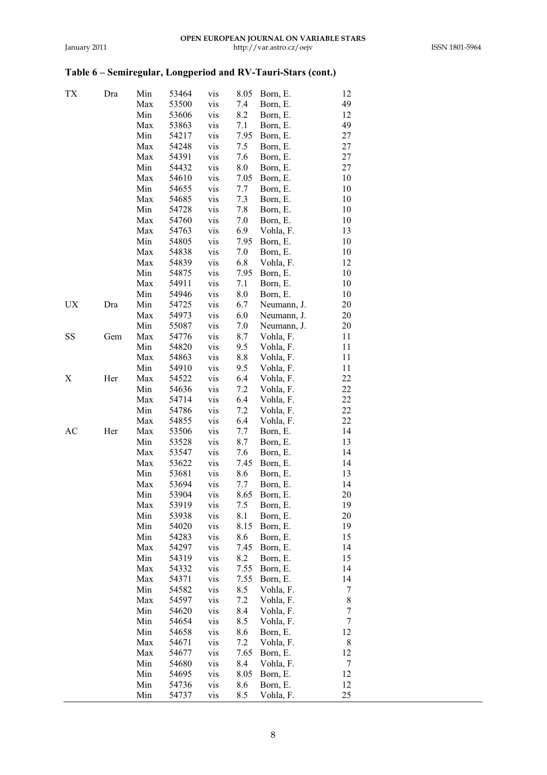| ТX | Dra | Min | 53464 | vis | 8.05 | Born, E.    | 12             |  |
|----|-----|-----|-------|-----|------|-------------|----------------|--|
|    |     | Max | 53500 | vis | 7.4  | Born, E.    | 49             |  |
|    |     | Min | 53606 | vis | 8.2  | Born, E.    | 12             |  |
|    |     | Max | 53863 | vis | 7.1  | Born, E.    | 49             |  |
|    |     | Min | 54217 | vis | 7.95 | Born, E.    | 27             |  |
|    |     | Max | 54248 | vis | 7.5  | Born, E.    | 27             |  |
|    |     | Max | 54391 | vis | 7.6  | Born, E.    | 27             |  |
|    |     | Min |       |     |      |             | 27             |  |
|    |     |     | 54432 | vis | 8.0  | Born, E.    |                |  |
|    |     | Max | 54610 | vis | 7.05 | Born, E.    | 10             |  |
|    |     | Min | 54655 | vis | 7.7  | Born, E.    | 10             |  |
|    |     | Max | 54685 | vis | 7.3  | Born, E.    | 10             |  |
|    |     | Min | 54728 | vis | 7.8  | Born, E.    | 10             |  |
|    |     | Max | 54760 | vis | 7.0  | Born, E.    | 10             |  |
|    |     | Max | 54763 | vis | 6.9  | Vohla, F.   | 13             |  |
|    |     | Min | 54805 | vis | 7.95 | Born, E.    | 10             |  |
|    |     | Max | 54838 | vis | 7.0  | Born, E.    | 10             |  |
|    |     | Max | 54839 | vis | 6.8  | Vohla, F.   | 12             |  |
|    |     | Min | 54875 | vis | 7.95 | Born, E.    | 10             |  |
|    |     | Max | 54911 | vis | 7.1  | Born, E.    | 10             |  |
|    |     | Min | 54946 | vis | 8.0  | Born, E.    | 10             |  |
| UX | Dra | Min | 54725 | vis | 6.7  | Neumann, J. | 20             |  |
|    |     | Max | 54973 | vis | 6.0  | Neumann, J. | 20             |  |
|    |     | Min | 55087 | vis | 7.0  | Neumann, J. | 20             |  |
| SS | Gem | Max | 54776 | vis | 8.7  | Vohla, F.   | 11             |  |
|    |     | Min | 54820 |     |      | Vohla, F.   | 11             |  |
|    |     |     |       | vis | 9.5  |             |                |  |
|    |     | Max | 54863 | vis | 8.8  | Vohla, F.   | 11             |  |
|    |     | Min | 54910 | vis | 9.5  | Vohla, F.   | 11             |  |
| Х  | Her | Max | 54522 | vis | 6.4  | Vohla, F.   | 22             |  |
|    |     | Min | 54636 | vis | 7.2  | Vohla, F.   | 22             |  |
|    |     | Max | 54714 | vis | 6.4  | Vohla, F.   | 22             |  |
|    |     | Min | 54786 | vis | 7.2  | Vohla, F.   | 22             |  |
|    |     | Max | 54855 | vis | 6.4  | Vohla, F.   | 22             |  |
| АC | Her | Max | 53506 | vis | 7.7  | Born, E.    | 14             |  |
|    |     | Min | 53528 | vis | 8.7  | Born, E.    | 13             |  |
|    |     | Max | 53547 | vis | 7.6  | Born, E.    | 14             |  |
|    |     | Max | 53622 | vis | 7.45 | Born, E.    | 14             |  |
|    |     | Min | 53681 | vis | 8.6  | Born, E.    | 13             |  |
|    |     | Max | 53694 | vis | 7.7  | Born, E.    | 14             |  |
|    |     | Min | 53904 | vis | 8.65 | Born, E.    | 20             |  |
|    |     | Max | 53919 | vis | 7.5  | Born, E.    | 19             |  |
|    |     | Min | 53938 | vis | 8.1  | Born, E.    | 20             |  |
|    |     | Min | 54020 | vis | 8.15 | Born, E.    | 19             |  |
|    |     | Min | 54283 | vis | 8.6  | Born, E.    | 15             |  |
|    |     | Max | 54297 | vis | 7.45 | Born, E.    | 14             |  |
|    |     | Min | 54319 | vis | 8.2  | Born, E.    | 15             |  |
|    |     | Max | 54332 |     |      |             | 14             |  |
|    |     |     |       | vis | 7.55 | Born, E.    |                |  |
|    |     | Max | 54371 | vis | 7.55 | Born, E.    | 14             |  |
|    |     | Min | 54582 | vis | 8.5  | Vohla, F.   | 7              |  |
|    |     | Max | 54597 | vis | 7.2  | Vohla, F.   | 8              |  |
|    |     | Min | 54620 | vis | 8.4  | Vohla, F.   | 7              |  |
|    |     | Min | 54654 | vis | 8.5  | Vohla, F.   | $\overline{7}$ |  |
|    |     | Min | 54658 | vis | 8.6  | Born, E.    | 12             |  |
|    |     | Max | 54671 | vis | 7.2  | Vohla, F.   | 8              |  |
|    |     | Max | 54677 | vis | 7.65 | Born, E.    | 12             |  |
|    |     | Min | 54680 | vis | 8.4  | Vohla, F.   | 7              |  |
|    |     | Min | 54695 | vis | 8.05 | Born, E.    | 12             |  |
|    |     | Min | 54736 | vis | 8.6  | Born, E.    | 12             |  |
|    |     | Min | 54737 | vis | 8.5  | Vohla, F.   | 25             |  |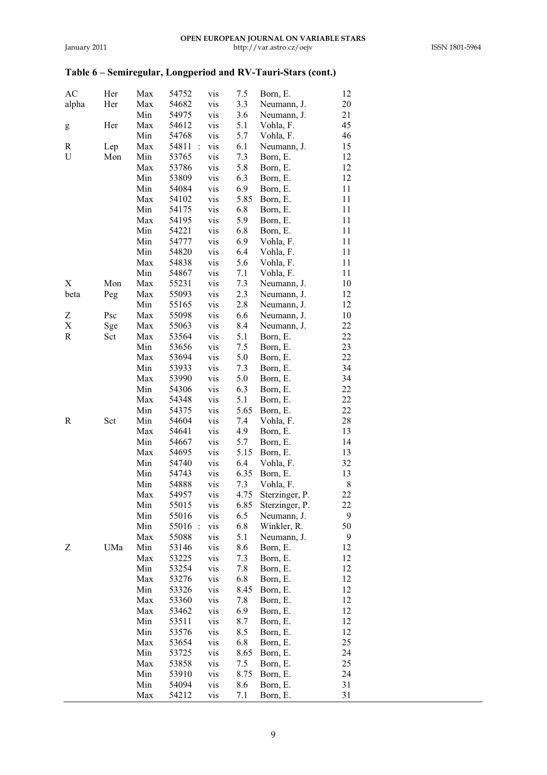| AC    | Her | Max | 54752   | vis | 7.5  | Born, E.       | 12 |
|-------|-----|-----|---------|-----|------|----------------|----|
| alpha | Her | Max | 54682   | vis | 3.3  | Neumann, J.    | 20 |
|       |     | Min | 54975   | vis | 3.6  | Neumann, J.    | 21 |
| g     | Her | Max | 54612   | vis | 5.1  | Vohla, F.      | 45 |
|       |     | Min | 54768   | vis | 5.7  | Vohla, F.      | 46 |
| R     | Lep | Max | 54811 : | vis | 6.1  | Neumann, J.    | 15 |
| U     | Mon | Min | 53765   | vis | 7.3  | Born, E.       | 12 |
|       |     | Max | 53786   | vis | 5.8  | Born, E.       | 12 |
|       |     | Min | 53809   | vis | 6.3  | Born, E.       | 12 |
|       |     | Min | 54084   | vis | 6.9  | Born, E.       | 11 |
|       |     | Max | 54102   | vis | 5.85 | Born, E.       | 11 |
|       |     | Min | 54175   | vis | 6.8  | Born, E.       | 11 |
|       |     | Max | 54195   | vis | 5.9  | Born, E.       | 11 |
|       |     | Min | 54221   | vis | 6.8  | Born, E.       | 11 |
|       |     | Min | 54777   | vis | 6.9  | Vohla, F.      | 11 |
|       |     | Min | 54820   | vis | 6.4  | Vohla, F.      | 11 |
|       |     | Max | 54838   | vis | 5.6  | Vohla, F.      | 11 |
|       |     | Min | 54867   | vis | 7.1  | Vohla, F.      | 11 |
| X     | Mon | Max | 55231   | vis | 7.3  | Neumann, J.    | 10 |
| beta  | Peg | Max | 55093   | vis | 2.3  | Neumann, J.    | 12 |
|       |     | Min | 55165   | vis | 2.8  | Neumann, J.    | 12 |
| Ζ     | Psc | Max | 55098   | vis | 6.6  | Neumann, J.    | 10 |
| X     | Sge | Max | 55063   | vis | 8.4  | Neumann, J.    | 22 |
| R     | Sct | Max | 53564   | vis | 5.1  | Born, E.       | 22 |
|       |     | Min | 53656   | vis | 7.5  | Born, E.       | 23 |
|       |     | Max | 53694   | vis | 5.0  | Born, E.       | 22 |
|       |     | Min | 53933   | vis | 7.3  | Born, E.       | 34 |
|       |     | Max | 53990   | vis | 5.0  | Born, E.       | 34 |
|       |     | Min | 54306   | vis | 6.3  | Born, E.       | 22 |
|       |     | Max | 54348   | vis | 5.1  | Born, E.       | 22 |
|       |     | Min | 54375   | vis | 5.65 | Born, E.       | 22 |
| R     | Sct | Min | 54604   | vis | 7.4  | Vohla, F.      | 28 |
|       |     | Max | 54641   | vis | 4.9  | Born, E.       | 13 |
|       |     | Min | 54667   | vis | 5.7  | Born, E.       | 14 |
|       |     | Max | 54695   | vis | 5.15 | Born, E.       | 13 |
|       |     | Min | 54740   | vis | 6.4  | Vohla, F.      | 32 |
|       |     | Min | 54743   | vis | 6.35 | Born, E.       | 13 |
|       |     | Min | 54888   | vis | 7.3  | Vohla, F.      | 8  |
|       |     | Max | 54957   | vis | 4.75 | Sterzinger, P. | 22 |
|       |     | Min | 55015   | vis | 6.85 | Sterzinger, P. | 22 |
|       |     | Min | 55016   | vis | 6.5  | Neumann, J.    | 9  |
|       |     | Min | 55016 : | vis | 6.8  | Winkler, R.    | 50 |
|       |     | Max | 55088   | vis | 5.1  | Neumann, J.    | 9  |
| Z     | UMa | Min | 53146   | vis | 8.6  | Born, E.       | 12 |
|       |     | Max | 53225   | vis | 7.3  | Born, E.       | 12 |
|       |     | Min | 53254   | vis | 7.8  | Born, E.       | 12 |
|       |     | Max | 53276   | vis | 6.8  | Born, E.       | 12 |
|       |     | Min | 53326   | vis | 8.45 | Born, E.       | 12 |
|       |     | Max | 53360   | vis | 7.8  | Born, E.       | 12 |
|       |     | Max | 53462   | vis | 6.9  | Born, E.       | 12 |
|       |     | Min | 53511   | vis | 8.7  | Born, E.       | 12 |
|       |     | Min | 53576   | vis | 8.5  | Born, E.       | 12 |
|       |     | Max | 53654   | vis | 6.8  | Born, E.       | 25 |
|       |     | Min | 53725   | vis | 8.65 | Born, E.       | 24 |
|       |     | Max | 53858   | vis | 7.5  | Born, E.       | 25 |
|       |     | Min | 53910   | vis | 8.75 | Born, E.       | 24 |
|       |     | Min | 54094   | vis | 8.6  | Born, E.       | 31 |
|       |     | Max | 54212   | vis | 7.1  | Born, E.       | 31 |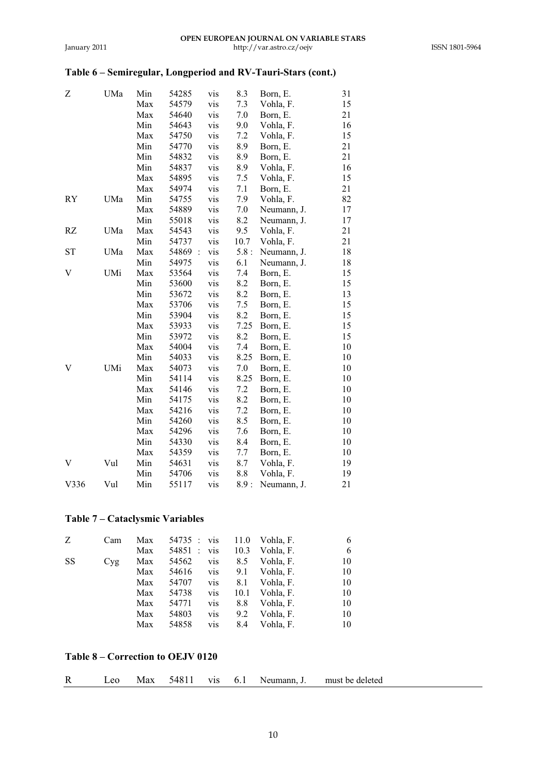| Ζ         | UMa | Min | 54285   | vis | 8.3  | Born, E.    | 31 |
|-----------|-----|-----|---------|-----|------|-------------|----|
|           |     | Max | 54579   | vis | 7.3  | Vohla, F.   | 15 |
|           |     | Max | 54640   | vis | 7.0  | Born, E.    | 21 |
|           |     | Min | 54643   | vis | 9.0  | Vohla, F.   | 16 |
|           |     | Max | 54750   | vis | 7.2  | Vohla, F.   | 15 |
|           |     | Min | 54770   | vis | 8.9  | Born, E.    | 21 |
|           |     | Min | 54832   | vis | 8.9  | Born, E.    | 21 |
|           |     | Min | 54837   | vis | 8.9  | Vohla, F.   | 16 |
|           |     | Max | 54895   | vis | 7.5  | Vohla, F.   | 15 |
|           |     | Max | 54974   | vis | 7.1  | Born, E.    | 21 |
| RY        | UMa | Min | 54755   | vis | 7.9  | Vohla, F.   | 82 |
|           |     | Max | 54889   | vis | 7.0  | Neumann, J. | 17 |
|           |     | Min | 55018   | vis | 8.2  | Neumann, J. | 17 |
| RZ        | UMa | Max | 54543   | vis | 9.5  | Vohla, F.   | 21 |
|           |     | Min | 54737   | vis | 10.7 | Vohla, F.   | 21 |
| <b>ST</b> | UMa | Max | 54869 : | vis | 5.8: | Neumann, J. | 18 |
|           |     | Min | 54975   | vis | 6.1  | Neumann, J. | 18 |
| V         | UMi | Max | 53564   | vis | 7.4  | Born, E.    | 15 |
|           |     | Min | 53600   | vis | 8.2  | Born, E.    | 15 |
|           |     | Min | 53672   | vis | 8.2  | Born, E.    | 13 |
|           |     | Max | 53706   | vis | 7.5  | Born, E.    | 15 |
|           |     | Min | 53904   | vis | 8.2  | Born, E.    | 15 |
|           |     | Max | 53933   | vis | 7.25 | Born, E.    | 15 |
|           |     | Min | 53972   | vis | 8.2  | Born, E.    | 15 |
|           |     | Max | 54004   | vis | 7.4  | Born, E.    | 10 |
|           |     | Min | 54033   | vis | 8.25 | Born, E.    | 10 |
| V         | UMi | Max | 54073   | vis | 7.0  | Born, E.    | 10 |
|           |     | Min | 54114   | vis | 8.25 | Born, E.    | 10 |
|           |     | Max | 54146   | vis | 7.2  | Born, E.    | 10 |
|           |     | Min | 54175   | vis | 8.2  | Born, E.    | 10 |
|           |     | Max | 54216   | vis | 7.2  | Born, E.    | 10 |
|           |     | Min | 54260   | vis | 8.5  | Born, E.    | 10 |
|           |     | Max | 54296   | vis | 7.6  | Born, E.    | 10 |
|           |     | Min | 54330   | vis | 8.4  | Born, E.    | 10 |
|           |     | Max | 54359   | vis | 7.7  | Born, E.    | 10 |
| V         | Vul | Min | 54631   | vis | 8.7  | Vohla, F.   | 19 |
|           |     | Min | 54706   | vis | 8.8  | Vohla, F.   | 19 |
| V336      | Vul | Min | 55117   | vis | 8.9: | Neumann, J. | 21 |

## **Table 7 – Cataclysmic Variables**

| Z         | Cam | Max | 54735 : vis |     | 11.0 | Vohla, F. | 6  |
|-----------|-----|-----|-------------|-----|------|-----------|----|
|           |     | Max | 54851 :     | vis | 10.3 | Vohla, F. | 6  |
| <b>SS</b> | Cyg | Max | 54562       | vis | 8.5  | Vohla, F. | 10 |
|           |     | Max | 54616       | vis | 9.1  | Vohla, F. | 10 |
|           |     | Max | 54707       | vis | 8.1  | Vohla, F. | 10 |
|           |     | Max | 54738       | vis | 10.1 | Vohla, F. | 10 |
|           |     | Max | 54771       | vis | 8.8  | Vohla, F. | 10 |
|           |     | Max | 54803       | vis | 9.2  | Vohla, F. | 10 |
|           |     | Max | 54858       | vis | 8.4  | Vohla. F. | 10 |

### **Table 8 – Correction to OEJV 0120**

| R<br>Leo Max 54811 vis 6.1 Neumann, J. | must be deleted |
|----------------------------------------|-----------------|
|----------------------------------------|-----------------|